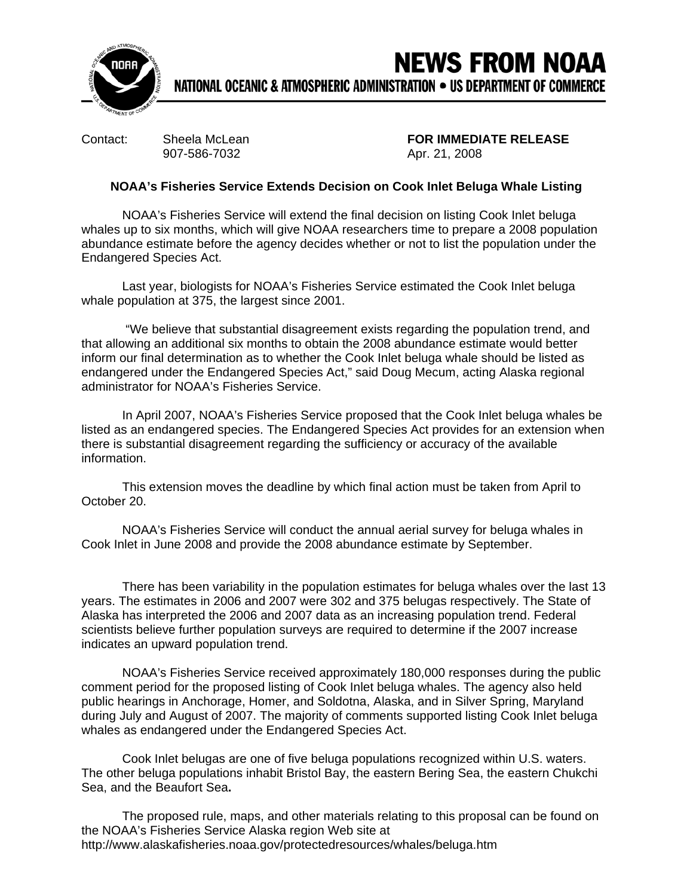

## **NEWS FROM NOAA** NATIONAL OCEANIC & ATMOSPHERIC ADMINISTRATION . US DEPARTMENT OF COMMERCE

907-586-7032 Apr. 21, 2008

Contact: Sheela McLean **FOR IMMEDIATE RELEASE**

## **NOAA's Fisheries Service Extends Decision on Cook Inlet Beluga Whale Listing**

NOAA's Fisheries Service will extend the final decision on listing Cook Inlet beluga whales up to six months, which will give NOAA researchers time to prepare a 2008 population abundance estimate before the agency decides whether or not to list the population under the Endangered Species Act.

Last year, biologists for NOAA's Fisheries Service estimated the Cook Inlet beluga whale population at 375, the largest since 2001.

 "We believe that substantial disagreement exists regarding the population trend, and that allowing an additional six months to obtain the 2008 abundance estimate would better inform our final determination as to whether the Cook Inlet beluga whale should be listed as endangered under the Endangered Species Act," said Doug Mecum, acting Alaska regional administrator for NOAA's Fisheries Service.

In April 2007, NOAA's Fisheries Service proposed that the Cook Inlet beluga whales be listed as an endangered species. The Endangered Species Act provides for an extension when there is substantial disagreement regarding the sufficiency or accuracy of the available information.

This extension moves the deadline by which final action must be taken from April to October 20.

NOAA's Fisheries Service will conduct the annual aerial survey for beluga whales in Cook Inlet in June 2008 and provide the 2008 abundance estimate by September.

There has been variability in the population estimates for beluga whales over the last 13 years. The estimates in 2006 and 2007 were 302 and 375 belugas respectively. The State of Alaska has interpreted the 2006 and 2007 data as an increasing population trend. Federal scientists believe further population surveys are required to determine if the 2007 increase indicates an upward population trend.

NOAA's Fisheries Service received approximately 180,000 responses during the public comment period for the proposed listing of Cook Inlet beluga whales. The agency also held public hearings in Anchorage, Homer, and Soldotna, Alaska, and in Silver Spring, Maryland during July and August of 2007. The majority of comments supported listing Cook Inlet beluga whales as endangered under the Endangered Species Act.

Cook Inlet belugas are one of five beluga populations recognized within U.S. waters. The other beluga populations inhabit Bristol Bay, the eastern Bering Sea, the eastern Chukchi Sea, and the Beaufort Sea**.**

The proposed rule, maps, and other materials relating to this proposal can be found on the NOAA's Fisheries Service Alaska region Web site at http://www.alaskafisheries.noaa.gov/protectedresources/whales/beluga.htm